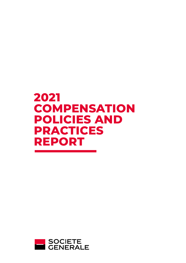# **2021 COMPENSATION POLICIES AND PRACTICES REPORT**

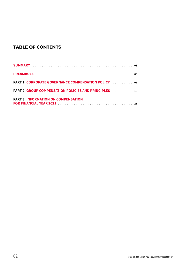# **TABLE OF CONTENTS**

| <b>PART 1. CORPORATE GOVERNANCE COMPENSATION POLICY</b>   |
|-----------------------------------------------------------|
| <b>PART 2. GROUP COMPENSATION POLICIES AND PRINCIPLES</b> |
| <b>PART 3. INFORMATION ON COMPENSATION</b>                |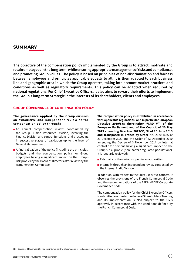# **SUMMARY**

**The objective of the compensation policy implemented by the Group is to attract, motivate and retain employees in the long term, while ensuring appropriate management of risks and compliance, and promoting Group values. The policy is based on principles of non-discrimination and fairness between employees and principles applicable equally to all. It is then adapted to each business line and geographic area in which the Group operates, taking into account market practices and conditions as well as regulatory requirements. This policy can be adapted when required by national regulations. For Chief Executive Officers, it also aims to reward their efforts to implement the Group's long-term Strategic in the interests of its shareholders, clients and employees.**

#### **GROUP GOVERNANCE OF COMPENSATION POLICY**

#### **The governance applied by the Group ensures an exhaustive and independent review of the compensation policy through:**

- An annual compensation review, coordinated by the Group Human Resources Division, involving the Finance Division and control functions, and proceeding in successive stages of validation up to the level of General Management;
- $\blacksquare$  A final validation of the policy (including the principles, budgets and the compensation policy for Group employees having a significant impact on the Group's risk profile) by the Board of Directors after review by the Remuneration Committee.

**The compensation policy is established in accordance with applicable regulations, and in particular European Directive 2019/878 (hereinafter "CRD V") of the European Parliament and of the Council of 20 May 2019 amending Directive 2013/36/EU of 26 June 2013 and transposed in France by Order** No. 2020-1635 of 21 December 2020 and the Order of 22 December 2020 amending the Decree of 3 November 2014 on internal control<sup>(1)</sup> for persons having a significant impact on the Group's risk profile (hereinafter "regulated population"). It is regularly reviewed:

- **Externally by the various supervisory authorities:**
- Internally through an independent review conducted by the Internal Audit Division.

In addition, with respect to the Chief Executive Officers, it observes the provisions of the French Commercial Code and the recommendations of the AFEP-MEDEF Corporate Governance Code.

The compensation policy for the Chief Executive Officers is submitted *ex-ante* to the General Shareholders' Meeting and its implementation is also subject to the GM's approval, in accordance with the conditions defined by the French Commercial Code.

(1) Decree of 3 November 2014 on the internal control of companies in the banking, payment services and investment services sector.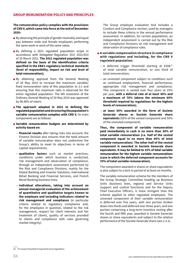#### **The remuneration policy complies with the provisions of CRD V, which came into force at the end of December 2020:**

- $\blacksquare$  By observing the principle of gender neutrality and equal pay between male and female employees performing the same work or work of the same value;
- By defining a 2021 regulated population scope in accordance with Delegated Regulation (EU) 2021/923 of 25 March 2021.**The 2021 regulated population was defined on the basis of the identification criteria specified in the EBA's regulatory technical standards (level of responsibility, impact on risk and level of total remuneration);**
- By obtaining approval from the General Meeting of 20 May 2014 to increase the maximum variable/ fixed remuneration ratio of this population to 2:1 and ensuring that this maximum ratio is observed for the entire regulated population. The 8th resolution of the Ordinary General Meeting of 20 May 2014 was approved by 96.46% of voters.
- **The approach adopted in 2021 to defining the regulated population and structuring the population's variable remuneration complies with CRD V.** Its main components are as follows:
- **Variable remuneration budgets are determined by activity based on:**
	- **financial results** after taking risks into account; the Finance Division also ensures that the total amount of variable remuneration does not undermine the Group's ability to meet its objectives in terms of capital requirements;
	- **qualitative factors** such as market practices, conditions under which business is conducted, risk management and observation of compliance, through an independent assessment performed by the Risk and Compliance Divisions, mainly for the Global Banking and Investor Solutions, International Retail Banking and Financial Services, and French Retail Banking business lines;
	- **individual allocations, taking into account an annual managerial evaluation of the achievement of quantitative and qualitative targets known to the employee and including indicators related to risk management and compliance** (in particular criteria related to regulatory compliance and, for the employees in question, related to the risk management, respect for client interests and fair treatment of clients, quality of services provided to clients and compliance with rules governing market integrity).

The Group employee evaluation tool includes a Conduct and Compliance section, used by managers to include these criteria in the annual performance assessment. In addition, for certain populations, an independent assessment is carried out by the Risk and Compliance Divisions on risk management and observation of compliance rules.

- **A variable compensation structure in compliance with regulations and including, for the CRD V regulated population:**
	- A deferred trigger threshold starting at €50 $k^{(2)}$ of total variable remuneration, or one third of total remuneration;
	- an unvested component subject to conditions such as continued employment, financial performance, appropriate risk management and compliance. This component is vested over four years at 25% per year, **with a deferral rate of at least 40% and a maximum of 70% (above the minimum 60% threshold required by regulations for the highest levels of remuneration);**
	- **at least 50% awarded in the form of Societe Generale shares or Societe Generale share equivalents** (50% of the vested component and 50% of the unvested component).

**Thus, the component of variable remuneration paid immediately in cash is no more than 30% of total variable remuneration (i.e. half of the vested component equal to no more than 60% of total variable remuneration). The other half of the vested component is awarded in Societe Generale share equivalents. It may be limited to 15% of total variable remuneration for the highest variable remunerations (case in which the deferred component accounts for 70% of total variable remuneration).**

The component awarded in shares or share equivalents is also subject to a lock-in period of at least six months.

The variable remuneration scheme for the members of the Group Strategic Committee heading up Business Units (business lines, regions) and Service Units (support and control functions) and for the Deputy Chief Executive Officers, is more stringent than the scheme applied to other regulated employees. The unvested component of their variable remuneration is deferred over five years, with one portion broken down into thirds and deferred over three years, and one portion comprising a long-term incentive vesting after the fourth and fifth year, awarded in Societe Generale shares or share equivalents and subject to the relative performance of the Societe Generale share (see 2.3.2).

(2) Or a lower threshold if required by local regulations.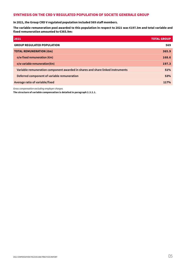# **SYNTHESIS ON THE CRD V REGULATED POPULATION OF SOCIETE GENERALE GROUP**

**In 2021, the Group CRD V regulated population included 569 staff members.**

**The variable remuneration pool awarded to this population in respect to 2021 was €197.3m and total variable and fixed remuneration amounted to €365.9m:**

| 2021                                                                           | <b>TOTAL GROUP.</b> |
|--------------------------------------------------------------------------------|---------------------|
| <b>GROUP REGULATED POPULATION</b>                                              | 569                 |
| <b>TOTAL REMUNERATION (€m)</b>                                                 | 365.9               |
| o/w fixed remuneration $(\epsilon m)$                                          | 168.6               |
| o/w variable remuneration( $\epsilon$ m)                                       | 197.3               |
| Variable remuneration component awarded in shares and share linked instruments | 51%                 |
| Deferred component of variable remuneration                                    | 53%                 |
| Average ratio of variable/fixed                                                | 117%                |

*Gross compensation excluding employer charges.*

**The structure of variable compensation is detailed in paragraph 2.3.2.1.**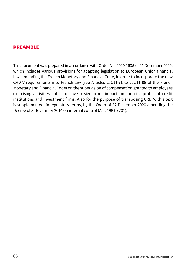# **PREAMBLE**

This document was prepared in accordance with Order No. 2020-1635 of 21 December 2020, which includes various provisions for adapting legislation to European Union financial law, amending the French Monetary and Financial Code, in order to incorporate the new CRD V requirements into French law (see Articles L. 511-71 to L. 511-88 of the French Monetary and Financial Code) on the supervision of compensation granted to employees exercising activities liable to have a significant impact on the risk profile of credit institutions and investment firms. Also for the purpose of transposing CRD V, this text is supplemented, in regulatory terms, by the Order of 22 December 2020 amending the Decree of 3 November 2014 on internal control (Art. 198 to 201).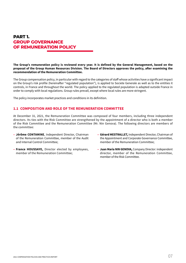# **PART 1. GROUP GOVERNANCE OF REMUNERATION POLICY**

**The Group's remuneration policy is reviewed every year. It is defined by the General Management, based on the proposal of the Group Human Resources Division. The Board of Directors approves the policy, after examining the recommendation of the Remuneration Committee.**

The Group compensation policy, in particular with regard to the categories of staff whose activities have a significant impact on the Group's risk profile (hereinafter "regulated population"), is applied to Societe Generale as well as to the entities it controls, in France and throughout the world. The policy applied to the regulated population is adapted outside France in order to comply with local regulations. Group rules prevail, except where local rules are more stringent.

The policy incorporates market practices and conditions in its definition.

# **1.1 COMPOSITION AND ROLE OF THE REMUNERATION COMMITTEE**

At December 31, 2021, the Remuneration Committee was composed of four members, including three independent directors. Its ties with the Risk Committee are strengthened by the appointment of a director who is both a member of the Risk Committee and the Remuneration Committee (Mr. Nin Genova). The following directors are members of the committee:

- **Jérôme CONTAMINE**, Independent Director, Chairman of the Remuneration Committee, member of the Audit and Internal Control Committee;
- **France HOUSSAYE,** Director elected by employees, member of the Remuneration Committee;
- **Gérard MESTRALLET,** Independent Director, Chairman of the Appointment and Corporate Governance Committee, member of the Remuneration Committee;
- **Juan Maria NIN GENOVA,** Company Director: independent director, member of the Remuneration Committee, member of the Risk Committee.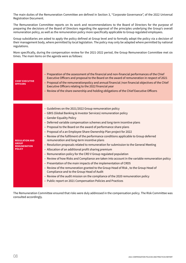The main duties of the Remuneration Committee are defined in Section 3, "Corporate Governance", of the 2022 Universal Registration Document.

The Remuneration Committee reports on its work and recommendations to the Board of Directors for the purpose of preparing the decisions of the Board of Directors regarding the approval of the principles underlying the Group's overall remuneration policy, as well as the remuneration policy more specifically applicable to Group regulated employees.

Group subsidiaries are asked to apply the policy defined at Group level and to formally adopt the policy via a decision of their management body, where permitted by local legislation. The policy may only be adapted where permitted by national regulations.

More specifically, during the compensation review for the 2021-2022 period, the Group Remuneration Committee met six times. The main items on the agenda were as follows:

| CHIEF EXECUTIVE<br>OFFICERS  | - Preparation of the assessment of the financial and non-financial performances of the Chief<br>Executive Officers and proposal to the Board on the award of remuneration in respect of 2021<br>- Proposal of the remunerationpolicy and annual financial /non financial objectives of the Chief<br>Executive Officers relating to the 2022 financial year<br>- Review of the share ownership and holding obligations of the Chief Executive Officers |
|------------------------------|-------------------------------------------------------------------------------------------------------------------------------------------------------------------------------------------------------------------------------------------------------------------------------------------------------------------------------------------------------------------------------------------------------------------------------------------------------|
|                              |                                                                                                                                                                                                                                                                                                                                                                                                                                                       |
|                              | - Guidelines on the 2021/2022 Group remuneration policy                                                                                                                                                                                                                                                                                                                                                                                               |
|                              | - GBIS (Global Banking & Investor Services) remuneration policy                                                                                                                                                                                                                                                                                                                                                                                       |
|                              | - Gender Equality Policy                                                                                                                                                                                                                                                                                                                                                                                                                              |
|                              | - Deferred variable compensation schemes and long-term incentive plans                                                                                                                                                                                                                                                                                                                                                                                |
|                              | - Proposal to the Board on the award of performance share plans                                                                                                                                                                                                                                                                                                                                                                                       |
|                              | - Proposal of a an Employee Share Ownership Plan project for 2022                                                                                                                                                                                                                                                                                                                                                                                     |
| <b>REGULATION AND</b>        | - Review of the fulfilment of the performance conditions applicable to Group deferred<br>remuneration and long-term incentive plans                                                                                                                                                                                                                                                                                                                   |
| GROUP<br><b>REMUNERATION</b> | - Resolution proposals related to remuneration for submission to the General Meeting                                                                                                                                                                                                                                                                                                                                                                  |
| POLICY                       | - Allocation of an additional profit sharing premium                                                                                                                                                                                                                                                                                                                                                                                                  |
|                              | - Remuneration policy for the CRD V Group regulated population                                                                                                                                                                                                                                                                                                                                                                                        |
|                              | - Review of how Risks and Compliance are taken into account in the variable remuneration policy                                                                                                                                                                                                                                                                                                                                                       |
|                              | - Presentation of the main impacts of the implementation of CRD5                                                                                                                                                                                                                                                                                                                                                                                      |
|                              | - Review of the remuneration granted to the Group Head of Risk, to the Group Head of<br>Compliance and to the Group Head of Audit                                                                                                                                                                                                                                                                                                                     |
|                              | - Review of the audit mission on the compliance of the 2020 remuneration policy                                                                                                                                                                                                                                                                                                                                                                       |
|                              | - Public report on 2021 Compensation Policies and Practices                                                                                                                                                                                                                                                                                                                                                                                           |
|                              |                                                                                                                                                                                                                                                                                                                                                                                                                                                       |

The Remuneration Committee ensured that risks were duly addressed in the compensation policy. The Risk Committee was consulted accordingly.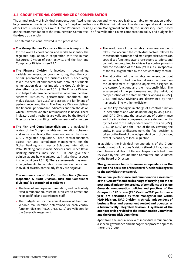## **1.2 GROUP INTERNAL GOVERNANCE OF COMPENSATION**

The annual review of individual compensation (fixed remuneration and, where applicable, variable remuneration and/or long term incentives is coordinated by the Group Human Resources Division, with different validation steps taken at the level of the Core Businesses, the Group Human Resources Division, General Management and finally the Supervisory Board, based on the recommendation of the Remuneration Committee. The final validation covers compensation policy and budgets for the Group as a whole.

The different divisions involved in this process are:

- **External The Group Human Resources Division** is responsible for the overall coordination and works to identify the regulated population, in cooperation with the Human Resources Division of each activity, and the Risk and Compliance Divisions (see 2.2.2);
- **The Finance Division** is involved in determining variable remuneration pools, ensuring that the cost of risk generated by the business lines is adequately taken into account and that the total amount of variable remuneration does not impede the Group's ability to strengthen its capital (see 2.3.1.1). The Finance Division also helps to determine deferred variable remuneration schemes (structure, performance conditions and malus clauses) (see 2.3.2) and assess the fulfilment of performance conditions. The Finance Division defines the financial performance indicators and thresholds on which unvested variable remuneration is based. These indicators and thresholds are validated by the Board of Directors, after consulting the Remuneration Committee.
- **External The Risk and Compliance divisions** are involved in review of the Group's variable remuneration schemes, and more specifically the remuneration of the Group CRD V regulated population. These control functions assess risk and compliance management, for the Global Banking and Investor Solutions, International Retail Banking and Financial Services and French Retail Banking business lines (see 2.3.1.1), and give their opinion about how regulated staff take these aspects into account (see 2.3.1.2). These assessments may result in adjustments to variable remuneration pools and individual awards, particularly if they are negative.

#### **The remuneration of the Control Functions (General Inspection & Audit Division, Risk and Compliance divisions) is determined as follows :**

- The level of employee remuneration, and particularly fixed remuneration, must be sufficient to attract and keep qualified and experienced staff.
- The budgets set for the annual review of fixed and variable remuneration determined for each control function division (RISQ, CPLE, IGAD) are validated by the General Management.
- The evolution of the variable remuneration pools takes into account the contextual factors related to these functions (trends and market practices, stress on specialised functions or/and rare expertise, efforts and commitment required to achieve key control projects) and the evolution of the Group's results, irrespective of the results generated by the activities they control.
- The allocation of the variable remuneration pool within each control function division is based on the achievement of specific objectives assigned to the control functions and their responsibilities. The assessment of the performance and the individual compensation of the staff members working in RISQ, CPLE, and IGAD Divisions are determined by their managerial line within the division.
- For the key managers in charge of a control function in local entities and who do not belong to RISQ, CPLE, and IGAD Divisions, the assessment of performance and the individual compensation are defined jointly by the Head of the independent control division (RISQ, CPLE, or IGAD) and the Head of the BU covering the entity. In case of disagreement, the final decision is taken by the Head of the independent control division, except if contrary to local regulation.

In addition, the individual remunerations of the Group heads of control functions Divisions (Head of Risk, Head of Compliance and Head of General Inspection & Audit) are reviewed by the Remuneration Committee and validated by the Board of Directors.

#### **This governance helps to ensure independence in the actions and decisions of the control functions in regards to the activities they control.**

**The annual performance and remuneration assessment of the IGAD staff members in charge of carrying out the ex post annual independent review of compliance of Societe Generale compensation policies and practices of the Group with CRDIV rules (CRD V as from 2021 performance year) are performed by their managerial line within IGAD Division. IGAD Division is strictly independent of business lines and permanent control and operates as a hierarchically integrated Division. A synthesis of the audit report is provided to the Remuneration Committee and the Group Risk Committee.**

Apart from the annual review of individual remuneration, a specific governance and management process applies to the entire Group.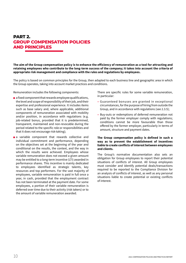# **PART 2. GROUP COMPENSATION POLICIES AND PRINCIPLES**

**The aim of the Group compensation policy is to enhance the efficiency of remuneration as a tool for attracting and retaining employees who contribute to the long-term success of the company; it takes into account the criteria of appropriate risk management and compliance with the rules and regulations by employees.**

The policy is based on common principles for the Group, then adapted to each business line and geographic area in which the Group operates, taking into account market practices and conditions.

Remuneration includes the following components:

- $\blacksquare$  a fixed component that rewards employee qualifications, the level and scope of responsibility of their job, and their expertise and professional experience. It includes items such as base salary and, where applicable, additional components of remuneration associated with mobility and/or position, in accordance with regulations (e.g. job-related bonus, provided that it is predetermined, transparent, maintained and non-revocable during the period related to the specific role or responsibilities and that it does not encourage risk-taking);
- a variable component that rewards collective and individual commitment and performance, depending on the objectives set at the beginning of the year and conditional on the results, the context, and the way in which the results were achieved. Employees whose variable remuneration does not exceed a given amount may be entitled to a long-term incentive (LTI) awarded in performance shares. This incentive is mainly dedicated to employees identified as strategic talents, key resources and top performers. For the vast majority of employees, variable remuneration is paid in full once a year, in cash, provided that the employment contract has not been terminated at the payment date. For some employees, a portion of their variable remuneration is deferred over time due to their activity (risk takers) or to the amount of variable remuneration awarded.

There are specific rules for some variable remuneration, in particular:

- Guaranteed bonuses are granted in exceptional circumstances, for the purpose of hiring from outside the Group, and in accordance with regulations (see 2.3.5);
- Buy-outs or redemptions of deferred remuneration not paid by the former employer comply with regulations; conditions cannot be more favourable than those offered by the former employer, particularly in terms of amount, structure and payment dates.

#### **The Group compensation policy is defined in such a way as to prevent the establishment of incentives liable to create conflicts of interest between employees and clients.**

The Group's normative documentation also sets an obligation for Group employees to report their potential situations of conflicts of interest. All Group employees must consider and identify potential deals/transactions required to be reported to the Compliance Division for an analysis of conflicts of interest, as well as any personal situations liable to create potential or existing conflicts of interest.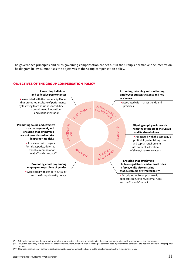The governance principles and rules governing compensation are set out in the Group's normative documentation. The diagram below summarises the objectives of the Group compensation policy.

#### OBJECTIVES OF THE GROUP COMPENSATION POLICY



\*) Clawback: the bank may call for variable remuneration components already paid out to be returned, subject to regulations in force.

Deferred remuneration: the payment of variable remuneration is deferred in order to align the remunerationstructure with long-term risks and performance.

Malus: the bank may reduce or cancel deferred variable remuneration prior to vesting or payment date if performance conditions are not met or due to inappropriate conduct.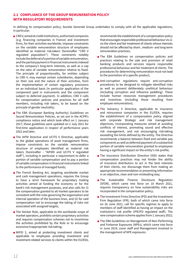# **2.1 COMPLIANCE OF THE GROUP REMUNERATION POLICY WITH REGULATORY REQUIREMENTS**

In defining its compensation policy, Societe Generale Group undertakes to comply with all the applicable regulations, in particular:

- CRDV, aimed at credit institutions, authorised companies (e.g. financing companies in France) and investment firms, for their activities worldwide, imposes constraints on the variable remuneration structure of employees identified as material risk-takers (hereinafter "CRD V regulated population"). These constraints notably include the deferral of a portion of variable remuneration, and the partial payment in financial instruments indexed to the company's long-term interests, as well as a cap on the ratio of variable remuneration relative to fixed. The principle of proportionality, for entities subject to CRD V, may exempt certain subsidiaries, depending on their size and the nature of their activities, from the implementation of certain regulatory provisions on an individual basis (in particular application of the component paid in instruments and the component subject to deferred payment). In addition, CRD V calls for compensation policies and practices for all staff members, including risk takers, to be based on the principle of gender neutrality;
- The EBA (European Banking Authority) Guidelines on Sound Remuneration Policies, as set out in the ACPR's compliance notice and which took effect on 1 January 2017; these guidelines were updated on 2 July 2021 for first-time application in respect of performance years 2022 and later;
- The AIFM Directive and UCITS V Directive, applicable to the global operations of asset management firms, impose constraints on the variable remuneration structure of employees identified as material risk takers (hereinafter - "AIFMD and UCITS V regulated staff"), including in particular a requirement to defer a portion of variable compensation and to pay a portion of variable compensation in financial instruments linked to the performance of managed funds;
- The French Banking Act, targeting worldwide market and cash management operations, requires the Group to have a strict framework for proprietary trading activities aimed at funding the economy or for the bank's risk management purposes, and also calls for (i) the compensation granted to all market operators to be consistent with the rules governing the organisation and internal operation of the business lines, and (ii) for said compensation not to encourage the taking of risks not associated with assigned targets;
- The Volcker Rule, applicable to the worldwide scope of market operators, prohibits certain proprietary activities and requires compensation schemes not to incentivise the activities prohibited by the Rule or to encourage excessive/inappropriate risk-taking;
- MiFID 2, aimed at protecting investment clients and applicable to employees providing investment and investment-related services to clients within the EU/EEA,

recommends the establishment of a compensation policy that encourages responsible professional behaviour vis-àvis the client and fair treatment of clients whose interests should not be affected by short-, medium- and long-term remuneration practices;

- The EBA Guidelines on compensation policies and practices relating to the sale and provision of retail banking products and services require responsible professional behaviour and fair treatment of clients. The procedures for determining remuneration must not lead to the promotion of a specific product;
- Anti-corruption regulations require anti-corruption procedures to be designed to mitigate identified risks as well as prevent deliberately unethical behaviour (including corruption and influence peddling). These include human resources management procedures and incentives (including those resulting from employee remuneration);
- The Solvency II Directive, applicable to insurance and reinsurance companies in the EU/EEA, requires the establishment of a compensation policy aligned with corporate Strategic and risk management objectives, incorporating measures aimed at avoiding conflicts of interest, promoting sound and effective risk management, and not encouraging risk-taking exceeding the limits defined by the entity. The Directive recommends a balance between fixed and variable pay components as well as deferred payment of a substantial portion of variable remuneration granted to employees having a significant impact on the entity's risk profile;
- The Insurance Distribution Directive (IDD) states that compensation practices may not hinder the ability of insurance distributors to act in the best interests of their clients, nor discourage them from making an appropriate recommendation or presenting information in an objective, clear and non-misleading way;
- The Sustainable Finance Disclosure Regulation (SFDR), which came into force on 10 March 2021, requires transparency on how sustainability risks are incorporated in the compensation policy;
- The Investment Firms Directive (IFD) and the Investment Firm Regulation (IFR), both of which came into force on 26 June 2021, call for specific regimes to apply to members of staff identified as having an impact on the institution's risk profile (IFR/IFD regulated staff). The new compensation scheme applies from 1 January 2022;
- The EBA Guidelines on Management of Non-Performing and Forborne Exposures (NPEs), which came into force in June 2019, cover staff and Management involved in the management of NPE exposures.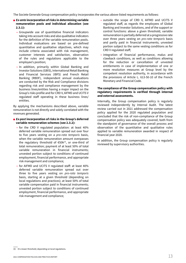The Societe Generale Group compensation policy incorporates the various above-listed requirements as follows:

- *Ex-ante* **incorporation of risks in determining variable remuneration pools and individual allocation (see 2.3.1):**
	- Groupwide use of quantitative financial indicators taking into account risks and also qualitative indicators for the definition of the variable remuneration pools. Individual evaluations are based on pre-defined quantitative and qualitative objectives, which may include criteria associated with risk management, customer interests and satisfaction, observation of the rules and regulations applicable to the employee's position;
	- In addition, primarily within Global Banking and Investor Solutions (GBIS), International Retail Banking and Financial Services (IBFS) and French Retail Banking (RBDF), independent annual evaluations are conducted by the Risk and Compliance divisions regarding risk and compliance management by the business lines/entities having a major impact on the Group's risks profile and for CRD V, AIFMD and UCITS V regulated staff operating in these business lines/ entities.

By applying the mechanisms described above, variable remuneration is not directly and solely correlated with the revenues generated.

- *Ex-post* incorporation of risks in the Group's deferred **variable remuneration schemes (see 2.3.2):**
	- for the CRD V regulated population: at least 40% deferred variable remuneration spread out over four to five years vesting on a *pro-rata temporis* basis, when the variable remuneration amount overpasses the regulatory threshold of  $\epsilon$ 50k(3), or one-third of total remuneration; payment of at least 50% of total variable remuneration in financial instruments; unvested portion subject to conditions of continued employment, financial performance, and appropriate risk management and compliance;
	- for AIFMD and UCITS V regulated staff: at least 40% deferred variable remuneration spread out over three to five years vesting on *pro-rata temporis* basis, starting at a given threshold (depending on local regulations and practices); at least 50% of total variable compensation paid in financial instruments; unvested portion subject to conditions of continued employment, financial performance, and appropriate risk management and compliance;
- outside the scope of CRD V, AIFMD and UCITS V regulated staff, as regards the employees of Global Banking and Investor Solutions, and of the support or control functions: above a given threshold, variable remuneration is partially deferred at a progressive rate over three years vesting on *pro-rata temporis* basis and partly paid in financial instruments; unvested portion subject to the same vesting conditions as for CRD V regulated staff;
- integration of financial performance, malus and clawback conditions, as well as conditions allowing for the reduction or cancellation of unvested entitlements in case of implementation of one or more resolution measures at Group level by the competent resolution authority, in accordance with the provisions of Article L. 613-50-10 of the French Monetary and Financial Code.

#### **The compliance of the Group compensation policy with regulatory requirements is verified through internal and external assessments.**

Internally, the Group compensation policy is regularly reviewed independently by Internal Audit. The latest review carried out in 2021 addressed the compensation policy applied for the 2020 regulated population and concluded that the risk of non-compliance of the Group compensation policy was adequately covered, both from the standpoint of governance of the overall process and observation of the quantitative and qualitative rules applied to variable remuneration awarded in respect of financial year 2020.

In addition, the Group compensation policy is regularly reviewed by supervisory authorities.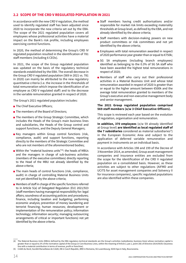# **2.2 SCOPE OF THE CRD V REGULATED POPULATION IN 2021**

In accordance with the new CRD V regulation, the method used to identify regulated staff has been adjusted since 2020 to incorporate the new criteria set out by the EBA. The scope of the 2021 regulated population covers all employees whose professional activities have a material impact on the Bank's risk profile, including employees exercising control functions.

In 2020, the method of determining the Group's CRD IV regulated population resulted in the identification of 781 staff members (including 6 CEOs).

In 2021, the scope of the Group regulated population was updated on the basis of the regulatory technical standards established by the EBA. The overall decrease in the Group CRD V regulated population (569 in 2021 vs. 781 in 2020) can mainly be attributed to the new regulatory quantitative criteria (i.e. the increase in the thresholds of total remuneration which impose the identification of an employee as CRD V regulated staff) and to the decrease in the variable remuneration granted in respect of 2020.

The Group's 2021 regulated population includes:

- The Chief Executive Officers:
- The members of the Board of Directors:
- The members of the Group Strategic Committee, which includes the Heads of the Group's main business lines and subsidiaries, the Heads of the Group control and support functions, and the Deputy General Managers;
- Key managers within Group control functions (risk, compliance, audit) and support functions, reporting directly to the members of the Strategic Committee and who are not members of the aforementioned bodies;
- Within the "material business units"<sup>(4)</sup>: the heads of MBUs and the managers in charge of sub-business activities (members of the executive committees) directly reporting to the Head of the MBU not already identified by the above criteria;
- The main heads of control functions (risk, compliance, audit) in charge of controlling Material Business Units not yet identified by the above criteria;
- Members of staff in charge of the specific functions referred to in Article 5(a) of Delegated Regulation (EU) 2021/923 (staff members having managerial responsibility for: legal affairs; soundness of accounting policies and procedures; finance, including taxation and budgeting; performing economic analysis; prevention of money laundering and terrorist financing; human resources; development or implementation of the remuneration policy; information technology; information security; managing outsourcing arrangements of critical or important functions) not yet identified by the above criteria.
- Staff members having credit authorisations and/or responsible for market risk limits exceeding materiality thresholds at Group level, as defined by the EBA, and not already identified by the above criteria;
- Staff members with decision-making powers on new product committees or risk committees and not yet identified by the above criteria;
- Employees with total remuneration awarded in respect of 2020 performance year greater than or equal to €750k;
- SG SA employees (including branch employees) identified as belonging to the 0.3% of SG SA staff who have been awarded the highest total remunerations in respect of 2020;
- Members of staff who carry out their professional activities in a Material Business Unit and whose total remuneration awarded in respect of 2020 is greater than or equal to the higher amount between €500k and the average total remuneration granted to members of the Group's executive and non-executive management body and senior management.

#### **The 2021 Group regulated population comprised 569 staff members (o/w 3 Chief Executive Officers).**

This scope is reviewed each year based on the evolution of regulation, organisation and remuneration.

**In addition, 370 employees** (o/w 59 already identified at Group level) **are identified as local regulated staff of the 7 subsidiaries** considered as material subsidiaries<sup>(5)</sup> in the European Economic Area and subject to the application of deferred variable remuneration and payment in instruments on an individual basis.

In accordance with Articles 198 and 199 of the Decree of 3 November 2014, as amended, Group asset management companies and insurance entities are excluded from the scope for the identification of the CRD V regulated population on a consolidated basis. However, as these activities are subject to other regulations (AIFMD and UCITS for asset management companies and Solvency II for insurance companies), specific regulated populations are also identified within these companies.

<sup>(4)</sup> The Material Business Units (MBUs) defined by the EBA regulatory technical standards are the Group's activities (subsidiaries; business lines) whose normative capital is greater than or equal to 2% of the normative capital of the Group or Core Business Lines, within the meaning of Article 2, par.1, point (36) of Directive 2014/59/EU (business line with a material contribution in terms of revenue, profit or franchise).

<sup>(5)</sup> Crédit du Nord, Société Marseillaise de Crédit, KB in Czech Republic, BRD in Romania, SG Luxembourg, SGSS Spa in Italy, Boursorama.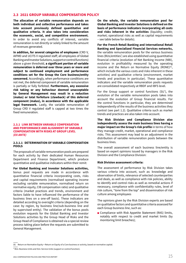#### **2.3 2021 GROUP VARIABLE COMPENSATION POLICY**

**The allocation of variable remuneration depends on both individual and collective performance and takes into account previously defined quantitative and qualitative criteria. It also takes into consideration the economic, social, and competitive environment.** In order to avoid any conflicts of interest, variable remuneration is not directly or solely linked to the amount of revenues generated.

**In addition, for several categories of employees** (CRD V, AIFMD and UCITS V regulated staff; all employees of Global Banking and Investor Solutions, support or control functions) above a given threshold, **a significant portion of variable remuneration is deferred over three years or more and subject to continued employment and performance conditions set for the Group the Core business/entity concerned.** Accordingly, when performance conditions are not met, the deferred component of variable remuneration is partially or fully forfeited.**Furthermore, any excessive risk taking or any behaviour deemed unacceptable by General Management may result in a reduction (malus) or total forfeiture (clawback) of this deferred component (malus), in accordance with the applicable legal framework.** Lastly, the variable remuneration of Group CRD V regulated staff is capped at two times the fixed remuneration.

#### **2.3.1 LINK BETWEEN VARIABLE COMPENSATION AND PERFORMANCE AND ALIGNMENT OF VARIABLE COMPENSATION WITH RISKS AT GROUP LEVEL** *(EX ANTE)*

#### **2.3.1.1 DETERMINATION OF VARIABLE COMPENSATION POOLS**

The proposals of variable remuneration pools are prepared for each activity by their dedicated Human Resources Department and Finance Department, which produce quantitative and qualitative indicators within their remit:

**For Global Banking and Investor Solutions activities,** bonus pool requests are made in accordance with quantitative financial criteria incorporating costs, risks and capital requirements (normalised operating income excluding variable remuneration, normalised return on normative equity, CIB compensation ratio) and qualitative criteria (market practices and trends, environment and factors liable to have influenced the performance of the business lines on a one-off basis). These indicators are detailed according to oversight criteria (depending on the case: by region, by business line/sub-business line and by supervised entity). The validation of the bonus pools evolution requests for the Global Banking and Investor Solutions activities by the Group Head of Risks and the Group Head of Compliance is obtained via a special review process taking place before the requests are submitted to General Management.

**On the whole, the variable remuneration pool for Global Banking and Investor Solutions is defined on the basis of performance indicators incorporating all costs and risks inherent in the activities** (liquidity; credit; market; operational risks as well as capital requirements – see table below for details).

**For the French Retail Banking and International Retail Banking and Specialized Financial Services networks,**  the variable remuneration pools for the various business lines (BUs/entities<sup>\*</sup>) are also established using quantitative financial criteria (evolution of Net Banking Income (NBI), evolution in profitability measured by the operating income and the Return on Normative Equity (RONE) $(6)$ , which include the various costs and risks inherent in these activities) and qualitative criteria (environment, market trends and practices in particular). These quantitative indicators and the variable remuneration pools requests are consolidated respectively at RBDF and IBFS level.

For the Group support or control functions (SU'), the evolution of the variable remuneration pools takes into account the evolution of Group financial results. For the control functions in particular, they are determined independently of the results of the business activities they control (see part 1.2). Qualitative criteria such as market trends and practices are also taken into account.

**The Risk Division and Compliance Division also independently assess the main business lines having a major impact on the Group's risk profile** in terms of how they manage credit, market, operational and compliance risks. This assessment may lead to an adjustment in the distribution of variable remuneration pools between the business lines.

The overall assessment of each business line/entity is based on expert opinions issued by managers in the Risk Division and the Compliance Division:

#### **Risk Division assessment criteria:**

The assessment of performance by Risk Division takes various criteria into account, such as: knowledge and observation of limits, relevance of selected counterparties and deals, as well as compliance with risk policies, ability to identify and control risks as well as remedial actions if necessary, compliance with confidentiality rules, level of risk culture, "tone from the top" and dissemination of risk culture among employees

The opinions given by the Risk Division experts are based on qualitative factors and quantitative criteria assessed for each Group business line, such as:

■ Compliance with Risk Appetite Statement (RAS) limits, notably with respect to credit and market limits (by monitoring limit breaches);

<sup>(6)</sup> Return on Normative Equity = Return on Equity of a Core business or activity, based on normative capital.

<sup>\*</sup> BUs: Business Units and SUs: Service Units (support or control function).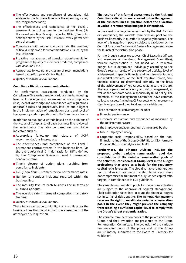- The effectiveness and compliance of operational risk systems in the business lines (via the operating losses/ recurring income ratio);
- The effectiveness and compliance of the Level 1 permanent control system in the business lines (via the overdue/critical & major ratio for NFAs (Needs for Action) defined by the Risk Division's Level 2 permanent control system;
- Compliance with model standards (via the overdue/ critical & major ratio for recommendations issued by the Risk Division);
- Proactive management of transformation/remediation programmes (quality of elements produced, compliance with deadlines, etc.);
- Appropriate follow-up and closure of recommendations issued by the European Central Bank;
- Quality of individual evaluations.

#### **Compliance Division assessment criteria:**

The performance assessment conducted by the Compliance Division is based on various criteria, including: level of knowledge and awareness of non-compliance risks, level of knowledge and compliance with regulations, applicable rules and procedures, level of due diligence in the implementation of remediation plans and level of transparency and cooperation with the Compliance teams.

In addition to qualitative criteria based on the opinions of the Heads of Compliance of each business line reviewed, the assessments may also be based on quantitative indicators such as:

- Appropriate follow-up and closure of ACPR recommendations in progress:
- The effectiveness and compliance of the Level 1 permanent control system in the business lines (via the overdue/critical & major ratio for NFAs defined by the Compliance Division's Level 2 permanent control system);
- Timely closure of action plans resulting from compliance incidents;
- KYC (Know Your Customer) review performance rates;
- Number of conduct incidents reported within the business line;
- The maturity level of each business line in terms of Culture & Conduct;
- The overdue rate in terms of completion mandatory training;
- Quality of individual evaluations.

These indicators serve to highlight any red flags for the business lines that could impact the assessment of the activity/entity in question.

#### **The results of this formal assessment by the Risk and Compliance divisions are reported to the Management of the business lines in question before the allocation of variable remuneration budgets is determined.**

In the event of a negative assessment by the Risk Division or Compliance, the variable remuneration pool for the business line/entity in question is negatively impacted. The level of this negative impact is subject to validation by the Control Functions Division and General Management before the launch of the distribution phase.

For the Group's senior executives (Chief Executive Officers and members of the Group Management Committee), variable compensation is not based on a collective budget but is determined individually according to the Group's results, results of the supervised activity, level of achievement of specific financial and non-financial targets, and market practices. For the Chief Executive Officers, nonfinancial criteria are determined primarily on the basis of the achievement of key targets relating to the Group's Strategic, operational efficiency and risk management, as well as the corporate social responsibility (CSR) policy. The members of the Management Committee have common collective targets (including CSR targets) which represent a significant portion of their total annual variable pay.

These common collective targets include:

- financial performance;
- customer satisfaction and experience as measured by the Net Promoter Score;
- $\blacksquare$  the employee engagement rate, as measured by the
- Group Employee Survey;
- corporate social responsibility, based on the nonfinancial rating of the Group by S&P Global CSA (formerly RobecoSAM), Sustainalytics and MSCI.

**Furthermore, the Finance Division includes the proposed global variable remuneration pool (i.e. consolidation of the variable remuneration pools of the activities) considered at Group level in the budget projections that serve as a basis for the regulatory capital ratio forecasts.** The global variable remuneration pool is taken into account in capital planning and does not compromise the fulfilment of fully-loaded capital ratio targets, in compliance with ECB guidelines.

The variable remuneration pools for the various activities are subject to the approval of General Management. Their calibration takes into account the financial targets set in terms of risk appetite.**The General Management reserves the right to recalibrate variable remuneration pools in the event they might prevent the company from reaching a sufficient capital level to comply with the Group's target prudential ratios.**

The variable remuneration pools of the pillars and of the Group and their evolution are presented to the Group Remuneration Committee. The evolution of the variable remuneration pools of the pillars and of the Group are ultimately submitted to the Board of Directors for validation.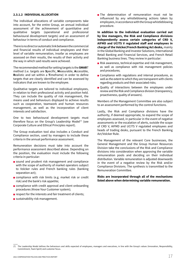#### **2.3.1.2 INDIVIDUAL ALLOCATION**

The individual allocations of variable components take into account, for the entire Group, an annual individual assessment of the achievement of quantitative and qualitative targets (operational and professional behavioural development targets) and an assessment of behaviour in terms of conduct and compliance.

There is no direct or automatic link between the commercial and financial results of individual employees and their level of variable remuneration, insofar as employees are assessed on their results, the results of their activity and the way in which said results were achieved.

The recommended method for setting targets is the **SMAR**T method (i.e. targets are **S**pecific, **M**easurable, **A**ccessible, **R**ealistic and set within a **T**imeframe) in order to define targets that are clearly identified and can be assessed by indicators that are known to the employee.

Qualitative targets are tailored to individual employees, in relation to their professional activity and position held. They can include the quality of risk management, the means used and behaviours displayed to achieve results such as cooperation, teamwork and human resources management, as well as the incorporation of client interests and satisfaction.

One to two behavioural development targets must therefore focus on the Group's Leadership Model $(7)$  (see Corporate Culture and Ethical Principles report).

The Group evaluation tool also includes a Conduct and Compliance section, used by managers to include these criteria in the annual performance assessment.

Remuneration decisions must take into account the performance assessment described above. Depending on the position, the evaluation must include the following criteria in particular:

- sound and prudent risk management and compliance with the scope of authority of market operators subject to Volcker rules and French banking rules (banking separation act);
- compliance with risk limits (e.g. market risk or credit risk) and the bank's risk appetite;
- compliance with credit approval and client onboarding procedures (Know Your Customer system);
- respect for the interests and fair treatment of clients;
- sustainability risk management.

■ The determination of remuneration must not be influenced by any whistleblowing actions taken by employees, in accordance with the Group whistleblowing procedure.

**In addition to the individual evaluation carried out by line managers, the Risk and Compliance divisions independently assess certain categories of CRD V, AIFMD and UCITS V regulated staff and employees in charge of the Volcker/French Banking Act desks,** mainly in the Global Banking and Investor Solutions, International Retail Banking and Financial Services, and French Retail Banking business lines. They review in particular:

- $\blacksquare$  Risk awareness, technical expertise and risk management, as well as compliance with risk management policies and procedures;
- Compliance with regulations and internal procedures, as well as the extent to which they are transparent with clients regarding products and their associated risks;
- Quality of interactions between the employees under review and the Risk and Compliance division (transparency, proactiveness, quality of answers).

Members of the Management Committee are also subject to an assessment performed by the control functions.

Lastly, the Risk and Compliance divisions have the authority, if deemed appropriate, to expand the scope of employees assessed, in particular in the event of negative assessments or the escalation of alerts, outside the scope of CRD V, AIFMD and UCITS V regulated employees and heads of trading desks, pursuant to the French Banking Act/Volcker Rule.

The Management of the relevant Core businesses, the General Management and the Group Human Resources Division take the conclusions of the Risk and Compliance divisions into consideration when approving the variable remuneration pools and deciding on their individual distribution. Variable remuneration is adjusted downwards in the event of a negative review by the Risk and/or Compliance Divisions. The synthesis is transmitted to the Remuneration Committee.

**Risks are incorporated through all of the mechanisms listed above when determining variable remuneration.**

The Leadership Model defines the behaviours and skills expected of employees, managers and executives, in line with the Group's values (Innovation, Responsibility, Commitment, Team Spirit) and customer focus.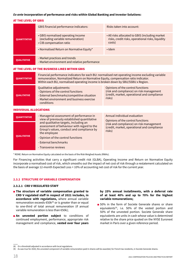#### *Ex-ante* **incorporation of performance and risks within Global Banking and Investor Solutions:**

#### AT THE LEVEL OF GBIS

|                     | <b>GBIS financial performance indicators:</b>                                                       | Risks taken into account:                                                                                      |  |  |  |
|---------------------|-----------------------------------------------------------------------------------------------------|----------------------------------------------------------------------------------------------------------------|--|--|--|
| <b>QUANTITATIVE</b> | • GBIS normalised operating Income<br>(excluding variable remuneration)<br>• CIB compensation ratio | • All risks allocated to GBIS (including market<br>risks, credit risks, operational risks, liquidity<br>costs) |  |  |  |
|                     | • Normalised Return on Normative Equity*                                                            | $\cdot$ Idem                                                                                                   |  |  |  |
| <b>QUALITATIVE</b>  | - Market practices and trends<br>- Market environment and relative performance                      |                                                                                                                |  |  |  |

#### AT THE LEVEL OF THE BUSINESS LINES WITHIN GBIS

| <b>QUANTITATIVE</b>           | Financial performance indicators for each BU: normalised net operating income excluding variable<br>remuneration, Normalized Return on Normative Equity, compensation ratio indicator.<br>Within each BU, normalised operating income is broken down by SBU/SSBU x Region. |                                                                                                                                                              |  |  |  |  |  |  |
|-------------------------------|----------------------------------------------------------------------------------------------------------------------------------------------------------------------------------------------------------------------------------------------------------------------------|--------------------------------------------------------------------------------------------------------------------------------------------------------------|--|--|--|--|--|--|
| <b>QUALITATIVE</b>            | Qualitative adjustments:<br>- Opinions of the control functions<br>- External benchmarks/competitive situation<br>- Market environment and business exercise<br>conditions                                                                                                 | Opinions of the control functions<br>(risk and compliance) on risk management<br>(credit, market, operational and compliance<br>risks)                       |  |  |  |  |  |  |
| <b>INDIVIDUAL ALLOCATIONS</b> |                                                                                                                                                                                                                                                                            |                                                                                                                                                              |  |  |  |  |  |  |
| <b>OUANTITATIVE</b>           | - Managerial assessment of performance in<br>view of previously established quantitative<br>and qualitative targets, including an<br>assessment of behaviour with regard to the                                                                                            | Annual individual evaluation<br>Opinions of the control functions<br>(risk and compliance) on risk management<br>(credit, market, operational and compliance |  |  |  |  |  |  |
|                               | Group's values, conduct and compliance by                                                                                                                                                                                                                                  | risks)                                                                                                                                                       |  |  |  |  |  |  |

\* RONE: Return on Normative Equity calculated on the basis of the Risk Weighed Assets (RWAs).

- Opinion of the control functions

For Financing activities that carry a significant credit risk (GLBA), Operating Income and Return on Normative Equity incorporate a normalised cost of risk, which smooths out the impact of net cost of risk through a restatement calculated on the basis of average 12-month Expected Loss + 10% of accounting net cost of risk for the current year.

#### **2.3.2 STRUCTURE OF VARIABLE COMPENSATION**

the employee

- External benchmarks - Transverse reviews

#### **2.3.2.1 CRD V REGULATED STAFF**

**QUALITATIVE**

- **The structure of variable compensation granted to CRD V regulated staff in respect of 2021 includes, in accordance with regulations,** where annual variable remuneration exceeds  $\epsilon$ 50k<sup>(8)</sup> or is greater than or equal to one-third of total annual remuneration (if annual variable remuneration is less than €50k);
- **An unvested portion subject** to conditions of continued employment, performance, appropriate risk management and compliance, **vested over four years**

#### **by 25% annual installments, with a deferral rate of at least 40% and up to 70% for the highest variable remunerations;**

■ 50% in the form of Societe Generale shares or share equivalents(9), i.e. 50% of the vested portion and 50% of the unvested portion. Societe Generale share equivalents are units in cash whose value is determined relative to the share price quoted on the NYSE Euronext market in Paris over a given reference period.

<sup>(8)</sup> Or a threshold adjusted in accordance with local regulations.

<sup>(9)</sup> As was true for 2020, the unvested component of variable remuneration paid in shares will be awarded, for French tax residents, in Societe Generale shares.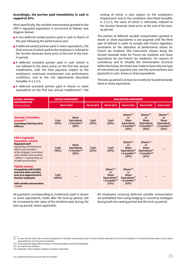#### **Accordingly, the portion paid immediately in cash is capped at 30%.**

More specifically, the variable remuneration granted to the CRD V regulated population is structured as follows (see diagram below):

- A non-deferred vested portion paid in cash in March of the year following the performance year;
- A deferred vested portion paid in share equivalents, the final amount of which paid to the employee is indexed to the Societe Generale share price at the end of the lockin period;
- A deferred unvested portion paid in cash (which is not indexed to the share price) on the first two annual installments, with the final payment subject to the employee's continued employment and performance conditions, and to the risk adjustments described hereafter in 2.3.2.5;
- A deferred unvested portion paid in shares or share equivalents on the first two annual installments<sup>(9)</sup>, the

vesting of which is also subject to the employee's employment and to the conditions described hereafter in 2.3.2.5, the value of which is ultimately indexed to the Societe Generale share price at the end of the lockup period.

The portion of deferred variable compensation granted in shares or share equivalents is not acquired until the third year of deferral in order to comply with French regulatory constraints on the allocation of performance shares for French tax residents (the instrument chosen being the Societe Generale share for French tax residents and share equivalents for non-French tax residents). For reasons of consistency and to simplify the remuneration structure within the Group, the choice was made to have only one type of instrument per payment year, and the same portions and payments in cash, shares or share equivalents.

The lock-up period is at least six months for Societe Generale share or share equivalents.

| <b>GLOBAL VARIABLE</b>                                                                                                                                                                                                                            | <b>VESTED COMPONENT</b> |                                                                            | <b>NON VESTED COMPONENT</b> |                                                                                                           |                                                                                                                           |                                                                                                                  |                                                                                                            |  |
|---------------------------------------------------------------------------------------------------------------------------------------------------------------------------------------------------------------------------------------------------|-------------------------|----------------------------------------------------------------------------|-----------------------------|-----------------------------------------------------------------------------------------------------------|---------------------------------------------------------------------------------------------------------------------------|------------------------------------------------------------------------------------------------------------------|------------------------------------------------------------------------------------------------------------|--|
| <b>REMUNERATION</b><br><b>Vesting Date</b>                                                                                                                                                                                                        | <b>March 2022</b>       |                                                                            | <b>March 2023</b>           | <b>March 2024</b>                                                                                         | <b>March 2025</b>                                                                                                         | <b>March 2026</b>                                                                                                | <b>March 2027</b>                                                                                          |  |
| <b>Strategic Committee</b><br>scheme <sup>(12)</sup><br>(excluding Chief Executive<br>Officers)                                                                                                                                                   | Cash<br>(50%)           | <b>Share</b><br><b>Equivalents</b><br>$+6$ months <sup>(10)</sup><br>(50%) | Cash<br>(20%)               | Cash<br>(20%)                                                                                             | ShareS <sup>(11)</sup><br><b>or</b><br>Share<br><b>Equivalents</b><br>$+6$ months <sup>(10)</sup><br>(20%)                | ShareS <sup>(11)</sup><br>or<br>Share<br><b>Equivalents</b><br>$+6$ months <sup>(10)</sup><br>(20%)              | Shares <sup>(11)</sup><br>or<br><b>Share</b><br><b>Equivalents</b><br>$+6$ months <sup>(10)</sup><br>(20%) |  |
| <b>CRD V regulated</b><br>population scheme<br><b>Regulated staff</b><br>(excluding Chief Executive<br>officers and members<br>of the Strategic Committee)<br>with variable remuneration<br>> €50k or > representing 1/3<br>of total remuneration | Cash<br>(50%)           | <b>Share</b><br><b>Equivalents</b><br>$+6$ months <sup>(10)</sup><br>(50%) | Cash<br>(25%)               | Cash<br>(25%)                                                                                             | ShareS <sup>(11)</sup><br><b>or</b><br><b>Share</b><br>Equivalents <sup>(9)</sup><br>$+6$ months <sup>(10)</sup><br>(25%) | ShareS <sup>(11)</sup><br><b>or</b><br><b>Share</b><br>Equivalents $(9)$<br>$+6$ months <sup>(10)</sup><br>(25%) |                                                                                                            |  |
| <b>Fidelity scheme</b><br><b>Unregulated staff of GBIS</b><br>and some other activities<br>such as & support/control<br>function employees<br>with variable remuneration<br>≥ €105k                                                               | Cash<br>$(100\%)$       |                                                                            |                             | ShareS <sup>(11)</sup><br>or<br><b>Share</b><br>Equivalents $(9)$<br>$+6$ months <sup>(10)</sup><br>(33%) | ShareS <sup>(11)</sup><br>or<br><b>Share</b><br>Equivalents <sup>(9)</sup><br>$+6$ months <sup>(10)</sup><br>(33%)        |                                                                                                                  |                                                                                                            |  |

All payments corresponding to instalments paid in shares or share equivalents, made after the lock-up period, will be increased by the value of the dividend paid during the lock-up period, where applicable.

All employees receiving deferred variable remuneration are prohibited from using hedging or insurance strategies during both the vesting period and the lock-up period.

<sup>(9)</sup> As was true for 2020, the unvested component of variable remuneration paid in shares will be awarded, for French tax residents, in Societe Generale shares and in share equivalents for non French tax residents.

<sup>(10)</sup> Lock-up period applicable to shares or share equivalents until end-September.

<sup>(11)</sup> For French tax residents.

<sup>(12)</sup> Except for a few members subject to specific constraints.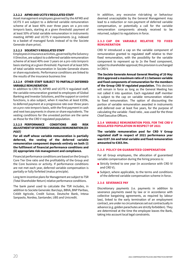#### **2.3.2.2 AIFMD AND UCITS V REGULATED STAFF**

Asset management employees governed by the AIFMD and UCITS V are subject to a deferred variable remuneration scheme of at least 40% over three years on a *pro-rata temporis* basis, starting at a given threshold: payment of at least 50% of total variable remuneration in instruments meeting AIFMD and UCITS V requirements (e.g. indexed to a basket of managed funds instead of to the Societe Generale share price).

## **2.3.2.3 SOLVENCY II REGULATED STAFF**

Employees in insurance activities, governed by the Solvency II Directive, are subject to a deferred variable remuneration scheme of at least 40% over 3 years on a *pro-rata temporis*  basis starting at a given threshold. Payment of at least 50% of total variable remuneration in Societe Generale shares or share equivalents. Performance conditions are linked to the results of the insurance business line

#### **2.3.2.4 OTHER STAFF SUBJECT TO PARTIALLY DEFERRED VARIABLE REMUNERATION**

In addition to CRD IV, AIFMD and UCITS V regulated staff, the variable remuneration granted to employees of Global Banking and Investor Solutions, and the support or control functions, is also subject, when it reaches at least €105k, to deferred payment at a progressive rate over three years on a *pro-rata temporis* basis, with the first payment in cash and next two payments in shares or share equivalents. The vesting conditions for the unvested portion are the same as those for the CRD V regulated population.

#### **2.3.2.5 PERFORMANCE CONDITIONS AND RISK ADJUSTMENT OF DEFERRED VARIABLE REMUNERATION** *(EX-POST)*

**For all staff whose variable remuneration is partially deferred, the vesting of the deferred variable remuneration component depends entirely on both (i) the fulfilment of financial performance conditions and (ii) appropriate risk management and compliance.**

Financial performance conditions are based on the Group's Core Tier One ratio and the profitability of the Group and the Core business or activity. If performance conditions are not met each year, deferred variable compensation is partially or fully forfeited (malus principle).

Long-term incentive plans for Management are subject to TSR (Total Shareholder Return) relative performance conditions.

The bank panel used to calculate the TSR includes, in addition to Societe Generale: Barclays, BBVA, BNP Paribas, Crédit Agricole, Credit Suisse, Deutsche Bank, Intesa Sanpaolo, Nordea, Santander, UBS and Unicredit.

In addition, any excessive risk-taking or behaviour deemed unacceptable by the General Management may lead to a reduction or non-payment of deferred variable compensation, or potentially a call for the variable remuneration components already received to be returned, subject to regulations in force.

#### **2.3.3 CAP ON VARIABLE RELATIVE TO FIXED REMUNERATION**

CRD IV introduced a cap on the variable component of remuneration granted to regulated staff relative to their fixed remuneration, with the possibility for the variable component to represent up to 2x the fixed component, subject to shareholder approval; this provision is unchanged in CRD V.

**The Societe Generale Annual General Meeting of 20 May 2014 approved a maximum ratio of 2:1 between variable and fixed components of remuneration for the members of the Group CRD IV regulated population.** This decision will remain in force as long as the General Meeting has not called it into question. Each regulated staff member is subject to the cap on variable remuneration relative to fixed remuneration. The option of discounting the portion of variable remuneration awarded in instruments and deferred over at least five years, for the purpose of calculating the variable : fixed ratio , was used for the three Chief Executive Officers.

#### **2.3.4 VARIABLE REMUNERATION POOL FOR THE CRD V REGULATED POPULATION IN RESPECT OF 2021**

**The variable remuneration pool for CRD V Group regulated staff in respect of 2021 performance year was €197.3m and total variable and fixed remuneration amounted to €365.9m.**

#### **2.3.5 POLICY ON GUARANTEED COMPENSATION**

For all Group employees, the allocation of guaranteed variable compensation during the hiring process is:

- Strictly limited to one year (in accordance with CRD IV and CRD V);
- $\blacksquare$  Subject, where applicable, to the terms and conditions of the deferred variable compensation scheme in force.

#### **2.3.6 SEVERANCE PAY**

Discretionary payments (i.e. payments in addition to severance payments owed by law or in accordance with collective bargaining agreements, as required by labour law), linked to the early termination of an employment contract, are under no circumstances set out contractually in advance (e.g. golden parachutes are strictly forbidden). They are determined at the time the employee leaves the Bank, taking into account local legal constraints.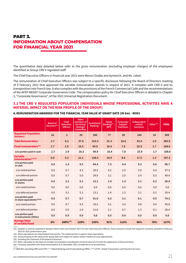# **PART 3. INFORMATION ABOUT COMPENSATION FOR FINANCIAL YEAR 2021**

The quantitative data detailed below refer to the gross remuneration (excluding employer charges) of the employees identified as Group CRD V regulated staff.

The Chief Executive Officers in financial year 2021 were Messrs Oudéa and Aymerich, and Ms. Lebot.

The remuneration of Chief Executive Officers was subject to a specific disclosure following the Board of Directors meeting of 9 February 2022 that approved the variable remuneration awards in respect of 2021. It complies with CRD V and its transposition into French law. It also complies with the provisions of the French Commercial Code and the recommendations of the AFEP-MEDEF Corporate Governance Code. The compensation policy for Chief Executive Officers is detailed in Chapter 3, "Corporate Governance", of the 2022 Universal Registration Document.

## **3.1 THE CRD V REGULATED POPULATION (INDIVIDUALS WHOSE PROFESSIONAL ACTIVITIES HAVE A MATERIAL IMPACT ON THE RISK PROFILE OF THE GROUP)**

#### **A.REMUNERATION AWARDED FOR THE FINANCIAL YEAR VALUE AT GRANT DATE (IN €m) - REM1**

|                                                              | <b>Board of</b><br>Directors <sup>(16)</sup> | <b>Chief</b><br><b>Executive</b><br><b>Officers</b> | Other<br>members of<br>the Group<br><b>Strategic</b><br><b>Committee</b> | Investment<br>Banking* | <b>Retail</b><br>Banking** -<br><b>IBFS</b> | Corporate/<br><b>Support</b><br><b>Functions</b> | Independent<br>control<br>functions | Other*** | <b>TOTAL</b> |
|--------------------------------------------------------------|----------------------------------------------|-----------------------------------------------------|--------------------------------------------------------------------------|------------------------|---------------------------------------------|--------------------------------------------------|-------------------------------------|----------|--------------|
| <b>Regulated Population</b><br>(Number)                      | 16                                           | 3                                                   | 29                                                                       | 260                    | 77                                          | 30                                               | 144                                 | 10       | 569          |
| <b>Total Remuneration</b>                                    | 2.7                                          | 8.2                                                 | 37.4                                                                     | 223.3                  | 31.3                                        | 16.6                                             | 43.4                                | 2.9      | 365.9        |
| <b>Fixed remuneration(18)</b>                                | 2.7                                          | 2.9                                                 | 16.3                                                                     | 94.9                   | 16.4                                        | 7.8                                              | 25.9                                | 1.7      | 168.6        |
| o/w portion paid in cash                                     | 2.7                                          | 2.9                                                 | 16.3                                                                     | 94.9                   | 16.4                                        | 7.8                                              | 25.9                                | 1.7      | 168.6        |
| <b>Variable</b><br>remuneration(13)(14)                      | 0.0                                          | 5.3                                                 | 21.1                                                                     | 128.4                  | 14.9                                        | 8.8                                              | 17.5                                | 1.3      | 197.3        |
| o/w portion paid<br>in cash                                  | 0.0                                          | 1.4                                                 | 9.3                                                                      | 64.4                   | 7.3                                         | 4.4                                              | 9.3                                 | 0.6      | 96.7         |
| o/w vested portion                                           | 0.0                                          | 0.7                                                 | 4.3                                                                      | 29.5                   | 4.2                                         | 2.4                                              | 5.9                                 | 0.4      | 47.3         |
| o/w deferred portion                                         | 0.0                                          | 0.7                                                 | 5.0                                                                      | 34.9                   | 3.1                                         | 2.0                                              | 3.4                                 | 0.3      | 49.4         |
| o/w portion paid<br>in shares                                | 0.0                                          | 3.2                                                 | 5.1                                                                      | 13.1                   | 1,4                                         | 1.3                                              | 2.1                                 | 0.2      | 26.4         |
| o/w vested portion                                           | 0.0                                          | 0.0                                                 | 0.0                                                                      | 0.0                    | 0.0                                         | 0.0                                              | 0.0                                 | 0.0      | 0.0          |
| o/w deferred portion                                         | 0.0                                          | 3.2                                                 | 5.1                                                                      | 13.1                   | 1.4                                         | 1.3                                              | 2.1                                 | 0.2      | 26.4         |
| o/w portion paid<br>in share equivalents <sup>(14)(15)</sup> | 0.0                                          | 0.7                                                 | 6.7                                                                      | 51.0                   | 6.2                                         | 3.1                                              | 6.1                                 | 0.5      | 74.3         |
| o/w vested portion                                           | 0.0                                          | 0.7                                                 | 4.3                                                                      | 29.2                   | 4.1                                         | 2.4                                              | 4.8                                 | 0.4      | 45.8         |
| o/w deferred portion                                         | 0.0                                          | 0.0                                                 | 2.4                                                                      | 21.8                   | 2.1                                         | 0.7                                              | 1.3                                 | 0.1      | 28.4         |
| o/w portion paid<br>in instruments (Other)                   | 0.0                                          | 0.0                                                 | 0.0                                                                      | 0.0                    | 0.0                                         | 0.0                                              | 0.0                                 | 0.0      | 0.0          |
| <b>Average Ratio</b><br>of variable/fixed                    | 0%                                           | 200%(17)                                            | 129%                                                                     | 135%                   | 91%                                         | 113%                                             | 68%                                 | 76%      | 117%         |

(13) Payable in several instalments between March 2022 and October 2027.For the Chief Executive Officers, these amounts include the long term incentive awarded in February 2022 for 2021 performance year.

(14) Share equivalents are share linked instruments. The vested portion is paid in share equivalents.

(15) Amount based on the value at the award date and subject to explicit and/or implicit ex-post adjustments.

(16) Including the Chairman of the Board of Directors.

(17) Ratio calculated on the basis of variable remuneration including the nominal value of LTIs with the application of discount factor.

(18) Fixed pay awarded is the fixed remuneration at 31 December 2021 considered on an annual basis.

(\*) GBIS BUs excluding PRIV and GTPS. (\*\*) Retail Banking and Private Banking (PRIV). (\*\*\*) GTPS : Global Transactions and Payment Services.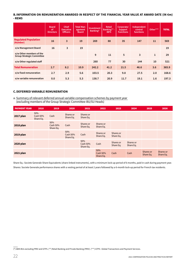#### **B. INFORMATION ON REMUNERATION AWARDED IN RESPECT OF THE FINANCIAL YEAR VALUE AT AWARD DATE (IN €m) - REM5**

|                                                              | <b>Board</b><br>0f<br><b>Directors</b> | <b>Chief</b><br><b>Executive</b><br><b>Officers</b> | <b>Total Man-</b><br>agement<br><b>Board</b> | Investment<br>Banking* | <b>Retail</b><br>Banking**-<br><b>IBFS</b> | Corporate/<br><b>Support</b><br><b>Functions</b> | Independent<br>control<br><b>functions</b> | Other***     | <b>TOTAL</b> |
|--------------------------------------------------------------|----------------------------------------|-----------------------------------------------------|----------------------------------------------|------------------------|--------------------------------------------|--------------------------------------------------|--------------------------------------------|--------------|--------------|
| <b>Regulated Population</b><br>(Number)                      | 16                                     | 3                                                   | 19                                           | 269                    | 88                                         | 35                                               | 147                                        | 11           | 569          |
| o/w Management Board                                         | 16                                     | 3                                                   | 19                                           |                        |                                            |                                                  |                                            |              | 19           |
| o/w Other members of the<br><b>Group Strategic Committee</b> |                                        |                                                     |                                              | 9                      | 11                                         | 5                                                | 3                                          | $\mathbf{1}$ | 29           |
| o/w Other regulated staff                                    |                                        |                                                     |                                              | 260                    | 77                                         | 30                                               | 144                                        | 10           | 521          |
| <b>Total Remuneration</b>                                    | 2.7                                    | 8.2                                                 | 10.9                                         | 242.2                  | 41.2                                       | 21.5                                             | 46.6                                       | 3.6          | 365.9        |
| o/w fixed remuneration                                       | 2.7                                    | 2.9                                                 | 5.6                                          | 103.5                  | 20.3                                       | 9.8                                              | 27.5                                       | 2.0          | 168.6        |
| o/w variable remuneration                                    | 0.0                                    | 5.3                                                 | 5.3                                          | 138.7                  | 20.9                                       | 11.7                                             | 19.1                                       | 1.6          | 197.3        |

## **C.DEFERRED VARIABLE REMUNERATION**

a.Summary of relevant deferred annual variable compensation schemes by payment year (excluding members of the Group Strategic Committee-BU/SU Heads)

| <b>PAYMENT YEAR</b> | 2018                         | 2019                         | 2020                         | 2021                         | 2022                         | 2023                   | 2024                   | 2025                   | 2026                   |
|---------------------|------------------------------|------------------------------|------------------------------|------------------------------|------------------------------|------------------------|------------------------|------------------------|------------------------|
| 2017 plan           | 50%<br>Cash 50%<br>Share Eq. | Cash                         | Shares or<br>Share Eq.       | Shares or<br>Share Eq.       |                              |                        |                        |                        |                        |
| 2018 plan           |                              | 50%<br>Cash 50%<br>Share Eq. | Cash                         | Shares or<br>Share Eq.       | Shares or<br>Share Eq.       |                        |                        |                        |                        |
| 2019 plan           |                              |                              | 50%<br>Cash 50%<br>Share Eq. | Cash                         | Shares or<br>Share Eq.       | Shares or<br>Share Eq. |                        |                        |                        |
| 2020 plan           |                              |                              |                              | 50%<br>Cash 50%<br>Share Eq. | Cash                         | Shares or<br>Share Eq. | Shares or<br>Share Eq. |                        |                        |
| 2021 plan           |                              |                              |                              |                              | 50%<br>Cash 50%<br>Share Eq. | Cash                   | Cash                   | Shares or<br>Share Eq. | Shares or<br>Share Eq. |

Share Eq.: Societe Generale Share Equivalents (share-linked instruments), with a minimum lock-up period of 6 months, paid in cash during payment year. Shares: Societe Generale performance shares with a vesting period of at least 2 years followed by a 6-month lock-up period for French tax residents.

(\*) GBIS BUs excluding PRIV and GTPS. (\*\*) Retail Banking and Private Banking (PRIV). (\*\*\*) GTPS : Global Transactions and Payment Services.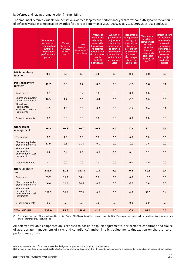#### b.Deferred and retained remuneration (in €m) - REM 3

The amount of deferred variable compensation awarded for previous performance years corresponds this year to the amount of deferred variable compensation awarded for years of performance 2020, 2019, 2018, 2017, 2016, 2015, 2014 and 2013.

|                                                                      | <b>Total amount</b><br>of deferred<br>remuneration<br>awarded<br>for previous<br>performance<br>periods | Of which<br>due to vest<br>in the 2021<br>financial<br>$year^{(18)}$ | Of which<br>vesting<br>in subsequent<br>financial years | Amount of<br>performance<br>adjustment<br>made in the<br>financial year<br>to deferred<br>remuneration<br>that was due to<br>vest in<br>the 2021<br>financial year | Amount of<br>performance<br>adjustment<br>made in the<br>financial year<br>to deferred<br>remuneration<br>that was due to<br>vest in future<br>performance<br>years | <b>Total amount</b><br>of adjustment<br>during the<br>financial year<br>due to ex-<br>post implicit<br>adjustments<br>(i.e. due to<br>the changes<br>of prices of<br>instruments) | <b>Total amount</b><br>of deferred<br>remuneration<br>awarded<br>before the<br>financial<br>year actually<br>paid out in<br>the financial<br>year <sup>(19)</sup> | <b>Total of amount</b><br>of deferred<br>remuneration<br>awarded<br>for previous<br>performance<br>period that<br>has vested<br>but is subject<br>to retention<br>periods |
|----------------------------------------------------------------------|---------------------------------------------------------------------------------------------------------|----------------------------------------------------------------------|---------------------------------------------------------|--------------------------------------------------------------------------------------------------------------------------------------------------------------------|---------------------------------------------------------------------------------------------------------------------------------------------------------------------|-----------------------------------------------------------------------------------------------------------------------------------------------------------------------------------|-------------------------------------------------------------------------------------------------------------------------------------------------------------------|---------------------------------------------------------------------------------------------------------------------------------------------------------------------------|
| <b>MB Supervisory</b><br>function                                    | 0.0                                                                                                     | 0.0                                                                  | 0.0                                                     | 0.0                                                                                                                                                                | 0.0                                                                                                                                                                 | 0.0                                                                                                                                                                               | 0.0                                                                                                                                                               | 0.0                                                                                                                                                                       |
| <b>MB Management</b><br>function <sup>*</sup>                        | 12.7                                                                                                    | 3.0                                                                  | 9.7                                                     | $-0.7$                                                                                                                                                             | 0.0                                                                                                                                                                 | $-0.5$                                                                                                                                                                            | 1.6                                                                                                                                                               | 0.1                                                                                                                                                                       |
| Cash-based                                                           | 0.8                                                                                                     | 0.6                                                                  | 0.2                                                     | 0.0                                                                                                                                                                | 0.0                                                                                                                                                                 | 0.0                                                                                                                                                                               | 0.6                                                                                                                                                               | 0.0                                                                                                                                                                       |
| Shares or equivalent<br>ownership interests                          | 10.9                                                                                                    | 1.4                                                                  | 9.5                                                     | $-0.4$                                                                                                                                                             | 0.0                                                                                                                                                                 | $-0.3$                                                                                                                                                                            | 0.6                                                                                                                                                               | 0.0                                                                                                                                                                       |
| Share-linked<br>instruments or<br>equivalent non-cash<br>instruments | 1.0                                                                                                     | 1.0                                                                  | 0.0                                                     | $-0.3$                                                                                                                                                             | 0.0                                                                                                                                                                 | $-0.2$                                                                                                                                                                            | 0.4                                                                                                                                                               | 0.1                                                                                                                                                                       |
| Other instruments                                                    | 0.0                                                                                                     | 0.0                                                                  | 0.0                                                     | 0.0                                                                                                                                                                | 0.0                                                                                                                                                                 | 0.0                                                                                                                                                                               | 0.0                                                                                                                                                               | 0.0                                                                                                                                                                       |
| <b>Other senior</b><br>management                                    | 29.8                                                                                                    | 10.8                                                                 | 19.0                                                    | $-0.3$                                                                                                                                                             | 0.0                                                                                                                                                                 | $-0.8$                                                                                                                                                                            | 9.7                                                                                                                                                               | 0.0                                                                                                                                                                       |
| Cash-based                                                           | 6.6                                                                                                     | 2.8                                                                  | 3.8                                                     | 0.0                                                                                                                                                                | 0.0                                                                                                                                                                 | 0.0                                                                                                                                                                               | 2.8                                                                                                                                                               | 0.0                                                                                                                                                                       |
| Shares or equivalent<br>ownership interests                          | 13.9                                                                                                    | 2.6                                                                  | 11.3                                                    | $-0.1$                                                                                                                                                             | 0.0                                                                                                                                                                 | $-0.9$                                                                                                                                                                            | 1.6                                                                                                                                                               | 0.0                                                                                                                                                                       |
| Share-linked<br>instruments or<br>equivalent non-cash<br>instruments | 9.4                                                                                                     | 5.4                                                                  | 4.0                                                     | $-0.2$                                                                                                                                                             | 0.0                                                                                                                                                                 | 0.1                                                                                                                                                                               | 5.2                                                                                                                                                               | 0.0                                                                                                                                                                       |
| Other instruments                                                    | 0.0                                                                                                     | 0.0                                                                  | 0.0                                                     | 0.0                                                                                                                                                                | 0.0                                                                                                                                                                 | 0.0                                                                                                                                                                               | 0.0                                                                                                                                                               | 0.0                                                                                                                                                                       |
| <b>Other identified</b><br>staff                                     | 189.5                                                                                                   | 81.8                                                                 | 107.8                                                   | $-1.4$                                                                                                                                                             | 0.0                                                                                                                                                                 | 0.8                                                                                                                                                                               | 80.8                                                                                                                                                              | 0.4                                                                                                                                                                       |
| Cash-based                                                           | 35.7                                                                                                    | 19.5                                                                 | 16.1                                                    | 0.0                                                                                                                                                                | 0.0                                                                                                                                                                 | 0.0                                                                                                                                                                               | 19.5                                                                                                                                                              | 0.0                                                                                                                                                                       |
| Shares or equivalent<br>ownership interests                          | 46.6                                                                                                    | 12.0                                                                 | 34.6                                                    | $-0.6$                                                                                                                                                             | 0.0                                                                                                                                                                 | $-3.8$                                                                                                                                                                            | 7.6                                                                                                                                                               | 0.0                                                                                                                                                                       |
| Share-linked<br>instruments or<br>equivalent non-cash<br>instruments | 107.3                                                                                                   | 50.2                                                                 | 57.0                                                    | $-0.9$                                                                                                                                                             | 0.0                                                                                                                                                                 | 4.6                                                                                                                                                                               | 53.6                                                                                                                                                              | 0.4                                                                                                                                                                       |
| Other instruments                                                    | 0.0                                                                                                     | 0.0                                                                  | 0.0                                                     | 0.0                                                                                                                                                                | 0.0                                                                                                                                                                 | 0.0                                                                                                                                                                               | 0.0                                                                                                                                                               | 0.0                                                                                                                                                                       |
| <b>TOTAL AMOUNT</b>                                                  | 232.0                                                                                                   | 95.6                                                                 | 136.4                                                   | $-2.5$                                                                                                                                                             | 0.0                                                                                                                                                                 | $-0.6$                                                                                                                                                                            | 92.0                                                                                                                                                              | 0.5                                                                                                                                                                       |

(\*) The current functions of P. Aymerich and D. Lebot as Deputy Chief Executive Officers began on May 14, 2018. The amounts reported include the elements of compensation awarded for their previous functions.

All deferred variable compensation is exposed to possible explicit adjustments (performance conditions and clause of appropriate management of risks and compliance) and/or implicit adjustments (indexation on share price or performance units).

(19) Including vested instruments, subject to retention period of six-months, during which the condition of appropriate management of riks and compliance condition applies.

<sup>(18)</sup> Amount on the basis of the value at award and subject to ex-post explicit and/or implicit adjustments.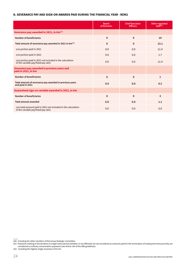### **D. SEVERANCE PAY AND SIGN-ON AWARDS PAID DURING THE FINANCIAL YEAR - REM2**

|                                                                                                      | <b>Board</b><br>of Directors | <b>Chief Executive</b><br><b>Officers</b> | Other regulated<br>statf(20) |
|------------------------------------------------------------------------------------------------------|------------------------------|-------------------------------------------|------------------------------|
| Severance pay awarded in 2021, in $\epsilon$ m <sup>(21)</sup>                                       |                              |                                           |                              |
| <b>Number of beneficiaries</b>                                                                       | $\mathbf 0$                  | $\mathbf 0$                               | 14                           |
| Total amount of severance pay awarded in 2021 in $\epsilon$ m <sup>(22)</sup>                        | $\mathbf{0}$                 | $\mathbf{0}$                              | 13.1                         |
| o/w portion paid in 2021                                                                             | 0.0                          | 0.0                                       | 11.4                         |
| o/w portion paid in 2022                                                                             | 0.0                          | 0.0                                       | 1.7                          |
| o/w portion paid in 2021 not included in the calculation<br>of the variable pay/fixed pay ratio      | 0.0                          | 0.0                                       | 11.4                         |
| Severance pay awarded in previous years and<br>paid in 2021, in $\epsilon$ m                         |                              |                                           |                              |
| <b>Number of beneficiaries</b>                                                                       | $\mathbf 0$                  | $\mathbf 0$                               | $\mathbf{1}$                 |
| Total amount of severance pay awarded in previous years<br>and paid in 2021                          | 0.0                          | 0.0                                       | 0.2                          |
| Guaranteed sign-on variable awarded in 2021, in €m                                                   |                              |                                           |                              |
| <b>Number of beneficiaries</b>                                                                       | $\mathbf{0}$                 | $\mathbf 0$                               | 3                            |
| <b>Total amount awarded</b>                                                                          | 0.0                          | 0.0                                       | 1.1                          |
| o/w total amount paid in 2021 not included in the calculation<br>of the variable pay/fixed pay ratio | 0.0                          | 0.0                                       | 0.0                          |

<sup>(20)</sup> Including the other members of the Group Strategic Committee.

<sup>(21)</sup> Payments relating to the duration of a legal notice period (whether or not effected) are not considered as amounts paid for the termination of employment because they are considered as ordinary remuneration payments (see Article 144 of the EBA guidelines).

<sup>(22)</sup> Including the highest single severance of €3.2m.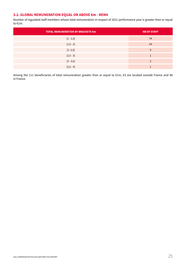# **3.2. GLOBAL REMUNERATION EQUAL OR ABOVE €m - REM4**

Number of regulated staff members whose total remuneration in respect of 2021 performance year is greater than or equal to €1m.

| <b>TOTAL REMUNERATION BY BRACKETS €m</b> | <b>NB OF STAFF</b> |
|------------------------------------------|--------------------|
| $[1 - 1, 5]$                             | 74                 |
| $[1,5 - 2[$                              | 24                 |
| $[2 - 2, 5]$                             | 9                  |
| $[2,5 - 3]$                              |                    |
| $[3 - 3, 5]$                             | $\overline{2}$     |
| $[3,5 - 4[$                              |                    |

Among the 111 beneficiaries of total remuneration greater than or equal to €1m, 63 are located outside France and 48 in France.